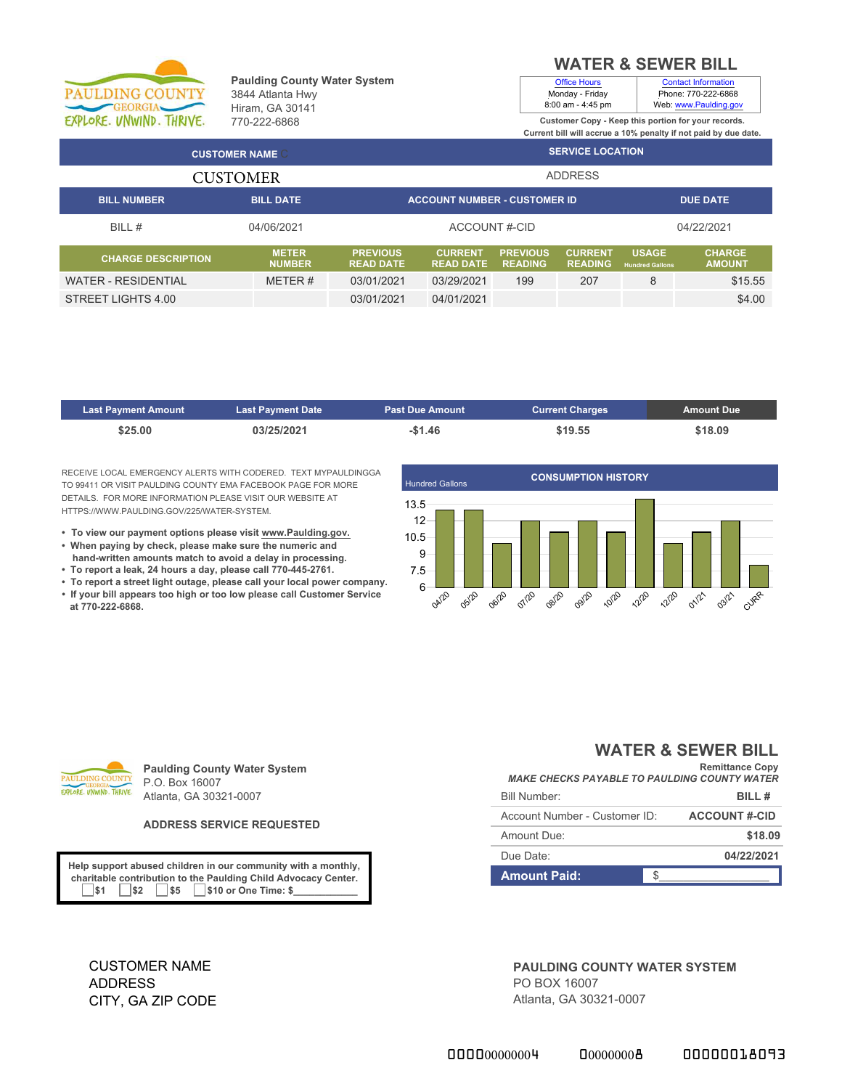

### **Paulding County Water System** 3844 Atlanta Hwy Hiram, GA 30141 770-222-6868

# **WATER & SEWER BILL**

Contact Information Phone: 770-222-6868

Office Hours Monday - Friday

8:00 am - 4:45 pm **Customer Copy - Keep this portion for your records.** Web: www.Paulding.gov

**Current bill will accrue a 10% penalty if not paid by due date. SERVICE LOCATION BILL NUMBER BILL DATE ACCOUNT NUMBER - CUSTOMER ID DUE DATE** ADDRESS **CUSTOMER NAME** CUSTOMER

| BILL#                      | 04/06/2021                    |                                     | ACCOUNT#-CID                       |                                   |                                  |                                        | 04/22/2021                     |
|----------------------------|-------------------------------|-------------------------------------|------------------------------------|-----------------------------------|----------------------------------|----------------------------------------|--------------------------------|
| <b>CHARGE DESCRIPTION</b>  | <b>METER</b><br><b>NUMBER</b> | <b>PREVIOUS</b><br><b>READ DATE</b> | <b>CURRENT</b><br><b>READ DATE</b> | <b>PREVIOUS</b><br><b>READING</b> | <b>CURRENT</b><br><b>READING</b> | <b>USAGE</b><br><b>Hundred Gallons</b> | <b>CHARGE</b><br><b>AMOUNT</b> |
| <b>WATER - RESIDENTIAL</b> | METER #                       | 03/01/2021                          | 03/29/2021                         | 199                               | 207                              |                                        | \$15.55                        |
| STREET LIGHTS 4.00         |                               | 03/01/2021                          | 04/01/2021                         |                                   |                                  |                                        | \$4.00                         |

| <b>Last Payment Amount</b> | <b>Last Payment Date</b> | <b>Past Due Amount</b> | <b>Current Charges</b> | <b>Amount Due</b> |
|----------------------------|--------------------------|------------------------|------------------------|-------------------|
| \$25.00                    | 03/25/2021               | $-$1.46$               | \$19.55                | \$18.09           |

RECEIVE LOCAL EMERGENCY ALERTS WITH CODERED. TEXT MYPAULDINGGA TO 99411 OR VISIT PAULDING COUNTY EMA FACEBOOK PAGE FOR MORE DETAILS. FOR MORE INFORMATION PLEASE VISIT OUR WEBSITE AT HTTPS://WWW.PAULDING.GOV/225/WATER-SYSTEM.

- **To view our payment options please visit www.Paulding.gov.**
- **When paying by check, please make sure the numeric and hand-written amounts match to avoid a delay in processing.**
- **To report a leak, 24 hours a day, please call 770-445-2761.**
- **To report a street light outage, please call your local power company. • If your bill appears too high or too low please call Customer Service at 770-222-6868.**





**Paulding County Water System** P.O. Box 16007 Atlanta, GA 30321-0007

### **ADDRESS SERVICE REQUESTED**

**Help support abused children in our community with a monthly, charitable contribution to the Paulding Child Advocacy Center. 51 \$2 \$5** \$10 or One Time: \$

## **WATER & SEWER BILL**

| <b>MAKE CHECKS PAYABLE TO PAULDING COUNTY WATER</b> | <b>Remittance Copy</b> |
|-----------------------------------------------------|------------------------|
| <b>Bill Number:</b>                                 | BILL#                  |
| Account Number - Customer ID:                       | <b>ACCOUNT #-CID</b>   |
| Amount Due:                                         | \$18.09                |
| Due Date:                                           | 04/22/2021             |
| <b>Amount Paid:</b>                                 |                        |

CUSTOMER NAME ADDRESS CITY, GA ZIP CODE **PAULDING COUNTY WATER SYSTEM** PO BOX 16007 Atlanta, GA 30321-0007